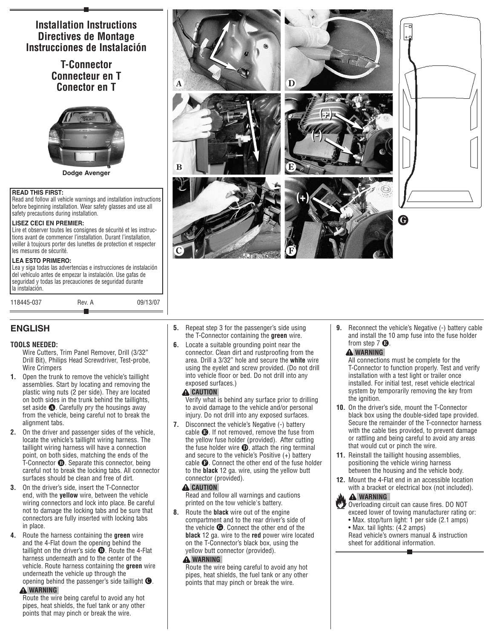# **Installation Instructions Directives de Montage Instrucciones de Instalación**

# **T-Connector Connecteur en T Conector en T**



**Dodge Avenger**

#### **READ THIS FIRST:**

Read and follow all vehicle warnings and installation instructions before beginning installation. Wear safety glasses and use all safety precautions during installation.

#### **LISEZ CECI EN PREMIER:**

Lire et observer toutes les consignes de sécurité et les instructions avant de commencer l'installation. Durant l'installation, veiller à toujours porter des lunettes de protection et respecter les mesures de sécurité.

#### **LEA ESTO PRIMERO:**

Lea y siga todas las advertencias e instrucciones de instalación del vehículo antes de empezar la instalación. Use gafas de seguridad y todas las precauciones de seguridad durante la instalación.

118445-037 Rev. A 09/13/07

## **ENGLISH**

#### **TOOLS NEEDED:**

Wire Cutters, Trim Panel Remover, Drill (3/32" Drill Bit), Philips Head Screwdriver, Test-probe, Wire Crimpers

- **1.** Open the trunk to remove the vehicle's taillight assemblies. Start by locating and removing the plastic wing nuts (2 per side). They are located on both sides in the trunk behind the taillights, set aside  $\bigcirc$ . Carefully pry the housings away from the vehicle, being careful not to break the alignment tabs.
- **2.** On the driver and passenger sides of the vehicle, locate the vehicle's taillight wiring harness. The taillight wiring harness will have a connection point, on both sides, matching the ends of the T-Connector  $\bullet$ . Separate this connector, being careful not to break the locking tabs. All connector surfaces should be clean and free of dirt.
- **3.** On the driver's side, insert the T-Connector end, with the **yellow** wire, between the vehicle wiring connectors and lock into place. Be careful not to damage the locking tabs and be sure that connectors are fully inserted with locking tabs in place.
- **4.** Route the harness containing the **green** wire and the 4-Flat down the opening behind the taillight on the driver's side  $\bullet$ . Route the 4-Flat harness underneath and to the center of the vehicle. Route harness containing the **green** wire underneath the vehicle up through the opening behind the passenger's side taillight  $\bigcirc$ .

#### **WARNING**

Route the wire being careful to avoid any hot pipes, heat shields, the fuel tank or any other points that may pinch or break the wire.

- **5.** Repeat step 3 for the passenger's side using the T-Connector containing the **green** wire.
- **6.** Locate a suitable grounding point near the connector. Clean dirt and rustproofing from the area. Drill a 3/32" hole and secure the **white** wire using the eyelet and screw provided. (Do not drill into vehicle floor or bed. Do not drill into any exposed surfaces.)

#### **A** CAUTION

Verify what is behind any surface prior to drilling to avoid damage to the vehicle and/or personal injury. Do not drill into any exposed surfaces.

**7.** Disconnect the vehicle's Negative (-) battery cable  $\bullet$ . If not removed, remove the fuse from the yellow fuse holder (provided). After cutting the fuse holder wire  $\Phi$ , attach the ring terminal and secure to the vehicle's Positive (+) battery cable  $\bullet$ . Connect the other end of the fuse holder to the **black** 12 ga. wire, using the yellow butt connector (provided).

#### **A** CAUTION

Read and follow all warnings and cautions printed on the tow vehicle's battery.

**8.** Route the **black** wire out of the engine compartment and to the rear driver's side of the vehicle  $\bigcirc$ . Connect the other end of the **black** 12 ga. wire to the **red** power wire located on the T-Connector's black box, using the yellow butt connector (provided).

#### **WARNING**

Route the wire being careful to avoid any hot pipes, heat shields, the fuel tank or any other points that may pinch or break the wire.

**9.** Reconnect the vehicle's Negative (-) battery cable and install the 10 amp fuse into the fuse holder from step  $7 \, \textcircled{3}$ .

## **WARNING**

All connections must be complete for the T-Connector to function properly. Test and verify installation with a test light or trailer once installed. For initial test, reset vehicle electrical system by temporarily removing the key from the ignition.

- **10.** On the driver's side, mount the T-Connector black box using the double-sided tape provided. Secure the remainder of the T-connector harness with the cable ties provided, to prevent damage or rattling and being careful to avoid any areas that would cut or pinch the wire.
- **11.** Reinstall the taillight housing assemblies, positioning the vehicle wiring harness between the housing and the vehicle body.
- **12.** Mount the 4-Flat end in an accessible location with a bracket or electrical box (not included).

### **WARNING**

Overloading circuit can cause fires. DO NOT exceed lower of towing manufacturer rating or:

- Max. stop/turn light: 1 per side (2.1 amps)
- Max. tail lights: (4.2 amps)
- Read vehicle's owners manual & instruction sheet for additional information.